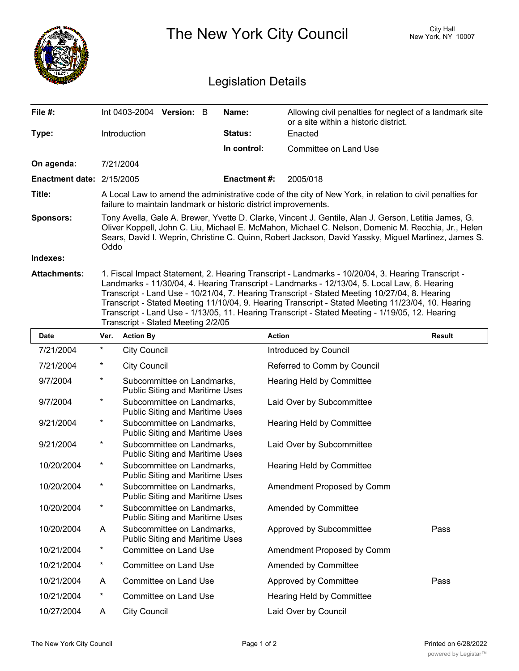|                            |                                                                                                                                                                                                                                                                                                                                                                                                                                                                                                                                                   |                          |                                                                      |  |                    | The New York City Council             | <b>City Hall</b><br>New York, NY 10007                  |  |  |  |
|----------------------------|---------------------------------------------------------------------------------------------------------------------------------------------------------------------------------------------------------------------------------------------------------------------------------------------------------------------------------------------------------------------------------------------------------------------------------------------------------------------------------------------------------------------------------------------------|--------------------------|----------------------------------------------------------------------|--|--------------------|---------------------------------------|---------------------------------------------------------|--|--|--|
| <b>Legislation Details</b> |                                                                                                                                                                                                                                                                                                                                                                                                                                                                                                                                                   |                          |                                                                      |  |                    |                                       |                                                         |  |  |  |
| File #:                    |                                                                                                                                                                                                                                                                                                                                                                                                                                                                                                                                                   | Int 0403-2004 Version: B |                                                                      |  | Name:              | or a site within a historic district. | Allowing civil penalties for neglect of a landmark site |  |  |  |
| Type:                      |                                                                                                                                                                                                                                                                                                                                                                                                                                                                                                                                                   | Introduction             |                                                                      |  | Status:            | Enacted                               |                                                         |  |  |  |
|                            |                                                                                                                                                                                                                                                                                                                                                                                                                                                                                                                                                   |                          |                                                                      |  | In control:        | Committee on Land Use                 |                                                         |  |  |  |
| On agenda:                 |                                                                                                                                                                                                                                                                                                                                                                                                                                                                                                                                                   | 7/21/2004                |                                                                      |  |                    |                                       |                                                         |  |  |  |
| Enactment date: 2/15/2005  |                                                                                                                                                                                                                                                                                                                                                                                                                                                                                                                                                   |                          |                                                                      |  | <b>Enactment#:</b> | 2005/018                              |                                                         |  |  |  |
| Title:                     | A Local Law to amend the administrative code of the city of New York, in relation to civil penalties for<br>failure to maintain landmark or historic district improvements.                                                                                                                                                                                                                                                                                                                                                                       |                          |                                                                      |  |                    |                                       |                                                         |  |  |  |
| Sponsors:                  | Tony Avella, Gale A. Brewer, Yvette D. Clarke, Vincent J. Gentile, Alan J. Gerson, Letitia James, G.<br>Oliver Koppell, John C. Liu, Michael E. McMahon, Michael C. Nelson, Domenic M. Recchia, Jr., Helen<br>Sears, David I. Weprin, Christine C. Quinn, Robert Jackson, David Yassky, Miguel Martinez, James S.<br>Oddo                                                                                                                                                                                                                         |                          |                                                                      |  |                    |                                       |                                                         |  |  |  |
| Indexes:                   |                                                                                                                                                                                                                                                                                                                                                                                                                                                                                                                                                   |                          |                                                                      |  |                    |                                       |                                                         |  |  |  |
| <b>Attachments:</b>        | 1. Fiscal Impact Statement, 2. Hearing Transcript - Landmarks - 10/20/04, 3. Hearing Transcript -<br>Landmarks - 11/30/04, 4. Hearing Transcript - Landmarks - 12/13/04, 5. Local Law, 6. Hearing<br>Transcript - Land Use - 10/21/04, 7. Hearing Transcript - Stated Meeting 10/27/04, 8. Hearing<br>Transcript - Stated Meeting 11/10/04, 9. Hearing Transcript - Stated Meeting 11/23/04, 10. Hearing<br>Transcript - Land Use - 1/13/05, 11. Hearing Transcript - Stated Meeting - 1/19/05, 12. Hearing<br>Transcript - Stated Meeting 2/2/05 |                          |                                                                      |  |                    |                                       |                                                         |  |  |  |
| Date                       | Ver.                                                                                                                                                                                                                                                                                                                                                                                                                                                                                                                                              | <b>Action By</b>         |                                                                      |  |                    | <b>Action</b>                         | <b>Result</b>                                           |  |  |  |
| 7/21/2004                  | *                                                                                                                                                                                                                                                                                                                                                                                                                                                                                                                                                 | <b>City Council</b>      |                                                                      |  |                    | Introduced by Council                 |                                                         |  |  |  |
| 7/21/2004                  | *                                                                                                                                                                                                                                                                                                                                                                                                                                                                                                                                                 | <b>City Council</b>      |                                                                      |  |                    | Referred to Comm by Council           |                                                         |  |  |  |
| 9/7/2004                   | *                                                                                                                                                                                                                                                                                                                                                                                                                                                                                                                                                 |                          | Subcommittee on Landmarks,<br><b>Public Siting and Maritime Uses</b> |  |                    | <b>Hearing Held by Committee</b>      |                                                         |  |  |  |
| 9/7/2004                   | *                                                                                                                                                                                                                                                                                                                                                                                                                                                                                                                                                 |                          | Subcommittee on Landmarks,<br><b>Public Siting and Maritime Uses</b> |  |                    | Laid Over by Subcommittee             |                                                         |  |  |  |
| 9/21/2004                  | *                                                                                                                                                                                                                                                                                                                                                                                                                                                                                                                                                 |                          | Subcommittee on Landmarks,<br><b>Public Siting and Maritime Uses</b> |  |                    | <b>Hearing Held by Committee</b>      |                                                         |  |  |  |
| 9/21/2004                  | *                                                                                                                                                                                                                                                                                                                                                                                                                                                                                                                                                 |                          | Subcommittee on Landmarks,<br>Public Siting and Maritime Uses        |  |                    | Laid Over by Subcommittee             |                                                         |  |  |  |
| 10/20/2004                 | $^\star$                                                                                                                                                                                                                                                                                                                                                                                                                                                                                                                                          |                          | Subcommittee on Landmarks,<br><b>Public Siting and Maritime Uses</b> |  |                    | Hearing Held by Committee             |                                                         |  |  |  |
| 10/20/2004                 | $^\star$                                                                                                                                                                                                                                                                                                                                                                                                                                                                                                                                          |                          | Subcommittee on Landmarks,<br>Public Siting and Maritime Uses        |  |                    | Amendment Proposed by Comm            |                                                         |  |  |  |
| 10/20/2004                 | $^{\star}$                                                                                                                                                                                                                                                                                                                                                                                                                                                                                                                                        |                          | Subcommittee on Landmarks,<br>Public Siting and Maritime Uses        |  |                    | Amended by Committee                  |                                                         |  |  |  |
| 10/20/2004                 | A                                                                                                                                                                                                                                                                                                                                                                                                                                                                                                                                                 |                          | Subcommittee on Landmarks,<br><b>Public Siting and Maritime Uses</b> |  |                    | Approved by Subcommittee              | Pass                                                    |  |  |  |
| 10/21/2004                 | $^{\star}$                                                                                                                                                                                                                                                                                                                                                                                                                                                                                                                                        |                          | Committee on Land Use                                                |  |                    | Amendment Proposed by Comm            |                                                         |  |  |  |
| 10/21/2004                 | $^{\star}$                                                                                                                                                                                                                                                                                                                                                                                                                                                                                                                                        |                          | Committee on Land Use                                                |  |                    | Amended by Committee                  |                                                         |  |  |  |
| 10/21/2004                 | A                                                                                                                                                                                                                                                                                                                                                                                                                                                                                                                                                 |                          | Committee on Land Use                                                |  |                    | Approved by Committee                 | Pass                                                    |  |  |  |
| 10/21/2004                 | $^{\star}$                                                                                                                                                                                                                                                                                                                                                                                                                                                                                                                                        |                          | Committee on Land Use                                                |  |                    | Hearing Held by Committee             |                                                         |  |  |  |
| 10/27/2004                 | A                                                                                                                                                                                                                                                                                                                                                                                                                                                                                                                                                 | <b>City Council</b>      |                                                                      |  |                    | Laid Over by Council                  |                                                         |  |  |  |